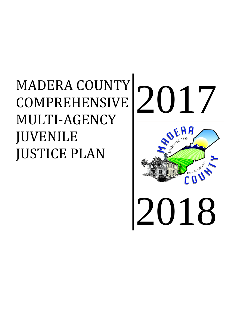# MADERA COUNTY COMPREHENSIVE MULTI-AGENCY JUVENILE JUSTICE PLAN

# 2017 2018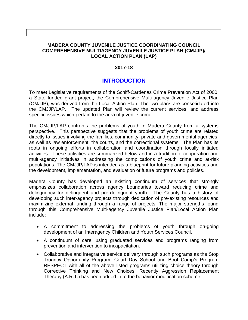### **MADERA COUNTY JUVENILE JUSTICE COORDINATING COUNCIL COMPREHENSIVE MULTIAGENCY JUVENILE JUSTICE PLAN (CMJJP)/ LOCAL ACTION PLAN (LAP)**

### **2017-18**

### **INTRODUCTION**

To meet Legislative requirements of the Schiff-Cardenas Crime Prevention Act of 2000, a State funded grant project, the Comprehensive Multi-agency Juvenile Justice Plan (CMJJP), was derived from the Local Action Plan. The two plans are consolidated into the CMJJP/LAP. The updated Plan will review the current services, and address specific issues which pertain to the area of juvenile crime.

The CMJJP/LAP confronts the problems of youth in Madera County from a systems perspective. This perspective suggests that the problems of youth crime are related directly to issues involving the families, community, private and governmental agencies, as well as law enforcement, the courts, and the correctional systems. The Plan has its roots in ongoing efforts in collaboration and coordination through locally initiated activities. These activities are summarized below and in a tradition of cooperation and multi-agency initiatives in addressing the complications of youth crime and at-risk populations. The CMJJP/LAP is intended as a blueprint for future planning activities and the development, implementation, and evaluation of future programs and policies.

Madera County has developed an existing continuum of services that strongly emphasizes collaboration across agency boundaries toward reducing crime and delinquency for delinquent and pre-delinquent youth. The County has a history of developing such inter-agency projects through dedication of pre-existing resources and maximizing external funding through a range of projects. The major strengths found through this Comprehensive Multi-agency Juvenile Justice Plan/Local Action Plan include:

- A commitment to addressing the problems of youth through on-going development of an Interagency Children and Youth Services Council.
- A continuum of care, using graduated services and programs ranging from prevention and intervention to incapacitation.
- Collaborative and integrative service delivery through such programs as the Stop Truancy Opportunity Program, Court Day School and Boot Camp's Program RESPECT with all of the above listed programs utilizing choice theory through Corrective Thinking and New Choices. Recently Aggression Replacement Therapy (A.R.T.) has been added in to the behavior modification scheme.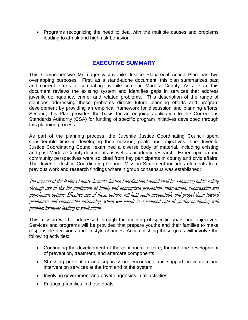• Programs recognizing the need to deal with the multiple causes and problems leading to at-risk and high-risk behavior.

# **EXECUTIVE SUMMARY**

This Comprehensive Multi-agency Juvenile Justice Plan/Local Action Plan has two overlapping purposes. First, as a stand-alone document, this plan summarizes past and current efforts at combating juvenile crime in Madera County. As a Plan, this document reviews the existing system and identifies gaps in services that address juvenile delinquency, crime, and related problems. This description of the range of solutions addressing these problems directs future planning efforts and program development by providing an empirical framework for discussion and planning efforts. Second, this Plan provides the basis for an ongoing application to the Corrections Standards Authority (CSA) for funding of specific program initiatives developed through this planning process.

As part of the planning process, the Juvenile Justice Coordinating Council spent considerable time in developing their mission, goals and objectives. The Juvenile Justice Coordinating Council examined a diverse body of material, including existing and past Madera County documents as well as academic research. Expert opinion and community perspectives were solicited from key participants in county and civic affairs. The Juvenile Justice Coordinating Council Mission Statement includes elements from previous work and research findings wherein group consensus was established:

The mission of the Madera County Juvenile Justice Coordinating Council shall be: Enhancing public safety through use of the full continuum of timely and appropriate prevention, intervention, suppression and punishment options. Effective use of these options will hold youth accountable and propel them toward productive and responsible citizenship, which will result in a reduced rate of youths continuing with problem behavior leading to adult crime.

This mission will be addressed through the meeting of specific goals and objectives. Services and programs will be provided that prepare youths and their families to make responsible decisions and lifestyle changes. Accomplishing these goals will involve the following activities:

- Continuing the development of the continuum of care, through the development of prevention, treatment, and aftercare components.
- Stressing prevention and suppression: encourage and support prevention and intervention services at the front end of the system.
- Involving government and private agencies in all activities.
- Engaging families in these goals.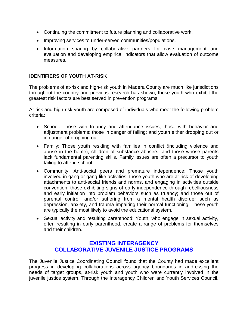- Continuing the commitment to future planning and collaborative work.
- Improving services to under-served communities/populations.
- Information sharing by collaborative partners for case management and evaluation and developing empirical indicators that allow evaluation of outcome measures.

### **IDENTIFIERS OF YOUTH AT-RISK**

The problems of at-risk and high-risk youth in Madera County are much like jurisdictions throughout the country and previous research has shown, those youth who exhibit the greatest risk factors are best served in prevention programs.

At-risk and high-risk youth are composed of individuals who meet the following problem criteria:

- School: Those with truancy and attendance issues; those with behavior and adjustment problems; those in danger of failing; and youth either dropping out or in danger of dropping out.
- Family: Those youth residing with families in conflict (including violence and abuse in the home); children of substance abusers; and those whose parents lack fundamental parenting skills. Family issues are often a precursor to youth failing to attend school.
- Community: Anti-social peers and premature independence: Those youth involved in gang or gang-like activities; those youth who are at-risk of developing attachments to anti-social friends and norms, and engaging in activities outside convention; those exhibiting signs of early independence through rebelliousness and early initiation into problem behaviors such as truancy; and those out of parental control, and/or suffering from a mental health disorder such as depression, anxiety, and trauma impairing their normal functioning. These youth are typically the most likely to avoid the educational system.
- Sexual activity and resulting parenthood: Youth, who engage in sexual activity, often resulting in early parenthood, create a range of problems for themselves and their children.

### **EXISTING INTERAGENCY COLLABORATIVE JUVENILE JUSTICE PROGRAMS**

The Juvenile Justice Coordinating Council found that the County had made excellent progress in developing collaborations across agency boundaries in addressing the needs of target groups, at-risk youth and youth who were currently involved in the juvenile justice system. Through the Interagency Children and Youth Services Council,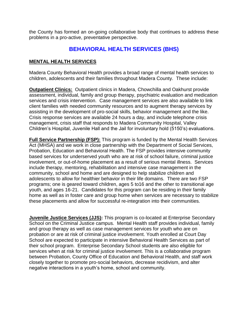the County has formed an on-going collaborative body that continues to address these problems in a pro-active, preventative perspective.

### **BEHAVIORAL HEALTH SERVICES (BHS)**

### **MENTAL HEALTH SERVICES**

Madera County Behavioral Health provides a broad range of mental health services to children, adolescents and their families throughout Madera County. These include:

**Outpatient Clinics:** Outpatient clinics in Madera, Chowchilla and Oakhurst provide assessment, individual, family and group therapy, psychiatric evaluation and medication services and crisis intervention. Case management services are also available to link client families with needed community resources and to augment therapy services by assisting in the development of pro-social skills, behavior management and the like. Crisis response services are available 24 hours a day, and include telephone crisis management, crisis staff that responds to Madera Community Hospital, Valley Children's Hospital, Juvenile Hall and the Jail for involuntary hold (5150's) evaluations.

**Full Service Partnership (FSP):** This program is funded by the Mental Health Services Act (MHSA) and we work in close partnership with the Department of Social Services, Probation, Education and Behavioral Health. The FSP provides intensive community based services for underserved youth who are at risk of school failure, criminal justice involvement, or out-of-home placement as a result of serious mental illness. Services include therapy, mentoring, rehabilitation and intensive case management in the community, school and home and are designed to help stabilize children and adolescents to allow for healthier behavior in their life domains. There are two FSP programs; one is geared toward children, ages 5 to16 and the other to transitional age youth, and ages 16-21. Candidates for this program can be residing in their family home as well as in foster care and group home when services are necessary to stabilize these placements and allow for successful re-integration into their communities.

**Juvenile Justice Services (JJS):** This program is co-located at Enterprise Secondary School on the Criminal Justice campus. Mental Health staff provides individual, family and group therapy as well as case management services for youth who are on probation or are at risk of criminal justice involvement. Youth enrolled at Court Day School are expected to participate in intensive Behavioral Health Services as part of their school program. Enterprise Secondary School students are also eligible for services when at risk for criminal justice involvement. This is a collaborative program between Probation, County Office of Education and Behavioral Health, and staff work closely together to promote pro-social behaviors, decrease recidivism, and alter negative interactions in a youth's home, school and community.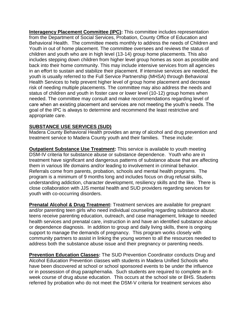**Interagency Placement Committee (IPC):** This committee includes representation from the Department of Social Services, Probation, County Office of Education and Behavioral Health. The committee meets monthly to address the needs of Children and Youth in out of home placement. The committee oversees and reviews the status of children and youth who are in high level (13-14) group home placements. This also includes stepping down children from higher level group homes as soon as possible and back into their home community. This may include intensive services from all agencies in an effort to sustain and stabilize their placement. If intensive services are needed, the youth is usually referred to the Full Service Partnership (MHSA) through Behavioral Health Services to help prevent higher level of group home placement and decrease risk of needing multiple placements. The committee may also address the needs and status of children and youth in foster care or lower level (10-12) group homes when needed. The committee may consult and make recommendations regarding level of care when an existing placement and services are not meeting the youth's needs. The goal of the IPC is always to determine and recommend the least restrictive and appropriate care.

### **SUBSTANCE USE SERVICES (SUD)**

Madera County Behavioral Health provides an array of alcohol and drug prevention and treatment service to Madera County youth and their families. These include:

**Outpatient Substance Use Treatment:** This service is available to youth meeting DSM-IV criteria for substance abuse or substance dependence. Youth who are in treatment have significant and dangerous patterns of substance abuse that are affecting them in various life domains and/or leading to involvement in criminal behavior. Referrals come from parents, probation, schools and mental health programs. The program is a minimum of 9 months long and includes focus on drug refusal skills, understanding addiction, character development, resiliency skills and the like. There is close collaboration with JJS mental health and SUD providers regarding services for youth with co-occurring disorders.

**Prenatal Alcohol & Drug Treatment:** Treatment services are available for pregnant and/or parenting teen girls who need individual counseling regarding substance abuse; teens receive parenting education, outreach, and case management, linkage to needed health services and prenatal care, instruction in and have an identified substance abuse or dependence diagnosis. In addition to group and daily living skills, there is ongoing support to manage the demands of pregnancy. This program works closely with community partners to assist in linking the young women to all the resources needed to address both the substance abuse issue and their pregnancy or parenting needs.

**Prevention Education Classes:** The SUD Prevention Coordinator conducts Drug and Alcohol Education Prevention classes with students in Madera Unified Schools who have been discovered at school or school sponsored events to be under the influence or in possession of drug paraphernalia. Such students are required to complete an 8 week course of drug abuse education. This occurs at the school site or BHS. Students referred by probation who do not meet the DSM-V criteria for treatment services also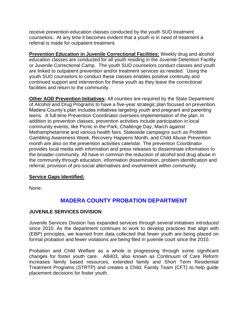receive prevention education classes conducted by the youth SUD treatment counselors. At any time it becomes evident that a youth is in need of treatment a referral is made for outpatient treatment.

**Prevention Education in Juvenile Correctional Facilities:** Weekly drug and alcohol education classes are conducted for all youth residing in the Juvenile Detention Facility or Juvenile Correctional Camp. The youth SUD counselors conduct classes and youth are linked to outpatient prevention and/or treatment services as needed. Using the youth SUD counselors to conduct these classes enables positive continuity and continued support and intervention for these youth as they leave the correctional facilities and return to the community.

**Other AOD Prevention Initiatives:** All counties are required by the State Department of Alcohol and Drug Programs to have a five-year strategic plan focused on prevention. Madera County's plan includes initiatives targeting youth and pregnant and parenting teens. A full-time Prevention Coordinator oversees implementation of the plan. In addition to prevention classes, prevention activities include participation in local community events, like Picnic in the Park, Challenge Day, March against Methamphetamine and various health fairs. Statewide campaigns such as Problem Gambling Awareness Week, Recovery Happens Month, and Child Abuse Prevention month are also on the prevention activities calendar. The prevention Coordinator provides local media with information and press releases to disseminate information to the broader community. All have in common the reduction of alcohol and drug abuse in the community through education, information dissemination, problem identification and referral, provision of pro-social alternatives and involvement within community.

### **Service Gaps Identified:**

None.

## **MADERA COUNTY PROBATION DEPARTMENT**

### **JUVENILE SERVICES DIVISION**

Juvenile Services Division has expanded services through several initiatives introduced since 2010. As the department continues to work to develop practices that align with (EBP) principles, we learned from data collected that fewer youth are being placed on formal probation and fewer violations are being filed in juvenile court since the 2010.

Probation and Child Welfare as a whole is progressing through some significant changes for foster youth care. AB403, also known as Continuum of Care Reform increases family based resources, extended family and Short Term Residential Treatment Programs (STRTP) and creates a Child, Family Team (CFT) to help guide placement decisions for foster youth.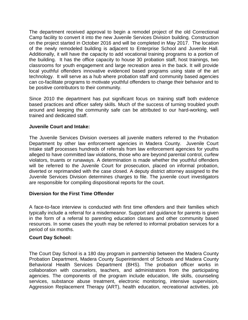The department received approval to begin a remodel project of the old Correctional Camp facility to convert it into the new Juvenile Services Division building. Construction on the project started in October 2016 and will be completed in May 2017. The location of the newly remodeled building is adjacent to Enterprise School and Juvenile Hall. Additionally, it will have the capacity to add vocational training programs to a portion of the building. It has the office capacity to house 30 probation staff, host trainings, two classrooms for youth engagement and large recreation area in the back. It will provide local youthful offenders innovative evidenced based programs using state of the art technology. It will serve as a hub where probation staff and community based agencies can co-facilitate programs to motivate youthful offenders to change their behavior and to be positive contributors to their community.

Since 2010 the department has put significant focus on training staff both evidence based practices and officer safety skills. Much of the success of turning troubled youth around and keeping the community safe can be attributed to our hard-working, well trained and dedicated staff.

### **Juvenile Court and Intake:**

The Juvenile Services Division oversees all juvenile matters referred to the Probation Department by other law enforcement agencies in Madera County. Juvenile Court Intake staff processes hundreds of referrals from law enforcement agencies for youths alleged to have committed law violations, those who are beyond parental control, curfew violators, truants or runaways. A determination is made whether the youthful offenders will be referred to the Juvenile Court for prosecution, placed on informal probation, diverted or reprimanded with the case closed. A deputy district attorney assigned to the Juvenile Services Division determines charges to file. The juvenile court investigators are responsible for compiling dispositional reports for the court.

### **Diversion for the First Time Offender**

A face-to-face interview is conducted with first time offenders and their families which typically include a referral for a misdemeanor. Support and guidance for parents is given in the form of a referral to parenting education classes and other community based resources. In some cases the youth may be referred to informal probation services for a period of six months.

### **Court Day School:**

The Court Day School is a 180 day program in partnership between the Madera County Probation Department, Madera County Superintendent of Schools and Madera County Behavioral Health Services Department (BHS). The probation officer works in collaboration with counselors, teachers, and administrators from the participating agencies. The components of the program include education, life skills, counseling services, substance abuse treatment, electronic monitoring, intensive supervision, Aggression Replacement Therapy (ART), health education, recreational activities, job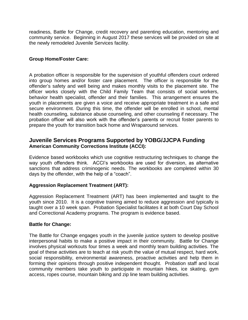readiness, Battle for Change, credit recovery and parenting education, mentoring and community service. Beginning in August 2017 these services will be provided on site at the newly remodeled Juvenile Services facility.

### **Group Home/Foster Care:**

A probation officer is responsible for the supervision of youthful offenders court ordered into group homes and/or foster care placement. The officer is responsible for the offender's safety and well being and makes monthly visits to the placement site. The officer works closely with the Child Family Team that consists of social workers, behavior health specialist, offender and their families. This arrangement ensures the youth in placements are given a voice and receive appropriate treatment in a safe and secure environment. During this time, the offender will be enrolled in school, mental health counseling, substance abuse counseling, and other counseling if necessary. The probation officer will also work with the offender's parents or recruit foster parents to prepare the youth for transition back home and Wraparound services.

### **Juvenile Services Programs Supported by YOBG/JJCPA Funding American Community Corrections Institute (ACCI):**

Evidence based workbooks which use cognitive restructuring techniques to change the way youth offenders think. ACCI's workbooks are used for diversion, as alternative sanctions that address criminogenic needs. The workbooks are completed within 30 days by the offender, with the help of a "coach".

### **Aggression Replacement Treatment (ART):**

Aggression Replacement Treatment (ART) has been implemented and taught to the youth since 2010. It is a cognitive training aimed to reduce aggression and typically is taught over a 10 week span. Probation Specialist facilitates it at both Court Day School and Correctional Academy programs. The program is evidence based.

### **Battle for Change:**

The Battle for Change engages youth in the juvenile justice system to develop positive interpersonal habits to make a positive impact in their community. Battle for Change involves physical workouts four times a week and monthly team building activities. The goal of these activities are to teach at risk youth the value of mutual respect, hard work, social responsibility, environmental awareness, proactive activities and help them in forming their opinions through positive independent thought. Probation staff and local community members take youth to participate in mountain hikes, ice skating, gym access, ropes course, mountain biking and zip line team building activities.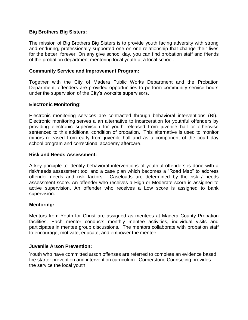### **Big Brothers Big Sisters:**

The mission of Big Brothers Big Sisters is to provide youth facing adversity with strong and enduring, professionally supported one on one relationship that change their lives for the better, forever. On any give school day, you can find probation staff and friends of the probation department mentoring local youth at a local school.

### **Community Service and Improvement Program:**

Together with the City of Madera Public Works Department and the Probation Department, offenders are provided opportunities to perform community service hours under the supervision of the City's worksite supervisors.

### **Electronic Monitoring**:

Electronic monitoring services are contracted through behavioral interventions (BI). Electronic monitoring serves a an alternative to incarceration for youthful offenders by providing electronic supervision for youth released from juvenile hall or otherwise sentenced to this additional condition of probation. This alternative is used to monitor minors released from early from juvenile hall and as a component of the court day school program and correctional academy aftercare.

### **Risk and Needs Assessment:**

A key principle to identify behavioral interventions of youthful offenders is done with a risk/needs assessment tool and a case plan which becomes a "Road Map" to address offender needs and risk factors. Caseloads are determined by the risk / needs assessment score. An offender who receives a High or Moderate score is assigned to active supervision. An offender who receives a Low score is assigned to bank supervision.

### **Mentoring:**

Mentors from Youth for Christ are assigned as mentees at Madera County Probation facilities. Each mentor conducts monthly mentee activities, individual visits and participates in mentee group discussions. The mentors collaborate with probation staff to encourage, motivate, educate, and empower the mentee.

### **Juvenile Arson Prevention:**

Youth who have committed arson offenses are referred to complete an evidence based fire starter prevention and intervention curriculum. Cornerstone Counseling provides the service the local youth.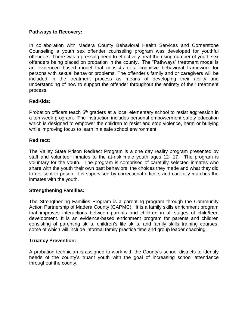### **Pathways to Recovery:**

In collaboration with Madera County Behavioral Health Services and Cornerstone Counseling a youth sex offender counseling program was developed for youthful offenders. There was a pressing need to effectively treat the rising number of youth sex offenders being placed on probation in the county. The "Pathways" treatment model is an evidenced based model that consists of a cognitive behavioral framework for persons with sexual behavior problems. The offender's family and or caregivers will be included in the treatment process as means of developing their ability and understanding of how to support the offender throughout the entirety of their treatment process.

### **RadKids:**

Probation officers teach 5<sup>th</sup> graders at a local elementary school to resist aggression in a ten week program**.** The instruction includes personal empowerment safety education which is designed to empower the children to resist and stop violence, harm or bullying while improving focus to learn in a safe school environment.

### **Redirect:**

The Valley State Prison Redirect Program is a one day reality program presented by staff and volunteer inmates to the at-risk male youth ages 12- 17. The program is voluntary for the youth. The program is comprised of carefully selected inmates who share with the youth their own past behaviors, the choices they made and what they did to get sent to prison. It is supervised by correctional officers and carefully matches the inmates with the youth.

### **Strengthening Families:**

The Strengthening Families Program is a parenting program through the Community Action Partnership of Madera County (CAPMC). It is a family skills enrichment program that improves interactions between parents and children in all stages of child/teen development. It is an evidence-based enrichment program for parents and children consisting of parenting skills, children's life skills, and family skills training courses, some of which will include informal family practice time and group leader coaching.

### **Truancy Prevention:**

A probation technician is assigned to work with the County's school districts to identify needs of the county's truant youth with the goal of increasing school attendance throughout the county.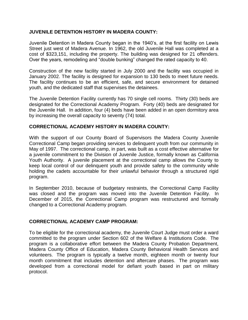### **JUVENILE DETENTION HISTORY IN MADERA COUNTY:**

Juvenile Detention in Madera County began in the 1940's, at the first facility on Lewis Street just west of Madera Avenue. In 1962, the old Juvenile Hall was completed at a cost of \$323,151, including the property. The building was designed for 21 offenders. Over the years, remodeling and "double bunking" changed the rated capacity to 40.

Construction of the new facility started in July 2000 and the facility was occupied in January 2002. The facility is designed for expansion to 130 beds to meet future needs. The facility continues to be an efficient, safe, and secure environment for detained youth, and the dedicated staff that supervises the detainees.

The Juvenile Detention Facility currently has 70 single cell rooms. Thirty (30) beds are designated for the Correctional Academy Program. Forty (40) beds are designated for the Juvenile Hall. In addition, four (4) beds have been added in an open dormitory area by increasing the overall capacity to seventy (74) total.

### **CORRECTIONAL ACADEMY HISTORY IN MADERA COUNTY:**

With the support of our County Board of Supervisors the Madera County Juvenile Correctional Camp began providing services to delinquent youth from our community in May of 1997. The correctional camp, in part, was built as a cost effective alternative for a juvenile commitment to the Division of Juvenile Justice, formally known as California Youth Authority. A juvenile placement at the correctional camp allows the County to keep local control of our delinquent youth and provide safety to the community while holding the cadets accountable for their unlawful behavior through a structured rigid program.

In September 2010, because of budgetary restraints, the Correctional Camp Facility was closed and the program was moved into the Juvenile Detention Facility. In December of 2015, the Correctional Camp program was restructured and formally changed to a Correctional Academy program.

### **CORRECTIONAL ACADEMY CAMP PROGRAM:**

To be eligible for the correctional academy, the Juvenile Court Judge must order a ward committed to the program under Section 602 of the Welfare & Institutions Code. The program is a collaborative effort between the Madera County Probation Department, Madera County Office of Education, Madera County Behavioral Health Services and volunteers. The program is typically a twelve month, eighteen month or twenty four month commitment that includes detention and aftercare phases. The program was developed from a correctional model for defiant youth based in part on military protocol.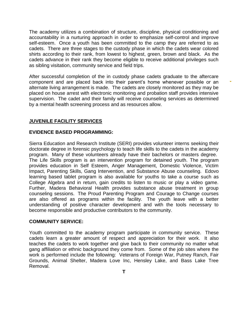The academy utilizes a combination of structure, discipline, physical conditioning and accountability in a nurturing approach in order to emphasize self-control and improve self-esteem. Once a youth has been committed to the camp they are referred to as cadets. There are three stages to the custody phase in which the cadets wear colored shirts according to their rank, from lowest to highest, green, brown and black. As the cadets advance in their rank they become eligible to receive additional privileges such as sibling visitation, community service and field trips.

After successful completion of the in custody phase cadets graduate to the aftercare component and are placed back into their parent's home whenever possible or an alternate living arrangement is made. The cadets are closely monitored as they may be placed on house arrest with electronic monitoring and probation staff provides intensive supervision. The cadet and their family will receive counseling services as determined by a mental health screening process and as resources allow.

### **JUVENILE FACILITY SERVICES**

### **EVIDENCE BASED PROGRAMMING:**

Sierra Education and Research Institute (SERI) provides volunteer interns seeking their doctorate degree in forensic psychology to teach life skills to the cadets in the academy program. Many of these volunteers already have their bachelors or masters degree. The Life Skills program is an intervention program for detained youth. The program provides education in Self Esteem, Anger Management, Domestic Violence, Victim Impact, Parenting Skills, Gang Intervention, and Substance Abuse counseling. Edovo learning based tablet program is also available for youths to take a course such as College Algebra and in return, gain credits to listen to music or play a video game. Further, Madera Behavioral Health provides substance abuse treatment in group counseling sessions. The Proud Parenting Program and Courage to Change courses are also offered as programs within the facility. The youth leave with a better understanding of positive character development and with the tools necessary to become responsible and productive contributors to the community.

### **COMMUNITY SERVICE:**

Youth committed to the academy program participate in community service. These cadets learn a greater amount of respect and appreciation for their work. It also teaches the cadets to work together and give back to their community no matter what gang affiliation or ethnic background they come from. Some of the job sites where the work is performed include the following: Veterans of Foreign War, Putney Ranch, Fair Grounds, Animal Shelter, Madera Love Inc, Hensley Lake, and Bass Lake Tree Removal.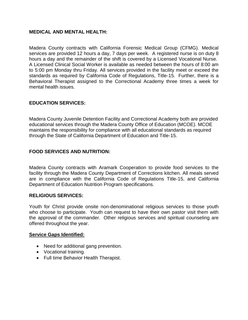### **MEDICAL AND MENTAL HEALTH:**

Madera County contracts with California Forensic Medical Group (CFMG). Medical services are provided 12 hours a day, 7 days per week. A registered nurse is on duty 8 hours a day and the remainder of the shift is covered by a Licensed Vocational Nurse. A Licensed Clinical Social Worker is available as needed between the hours of 8:00 am to 5:00 pm Monday thru Friday. All services provided in the facility meet or exceed the standards as required by California Code of Regulations, Title-15. Further, there is a Behavioral Therapist assigned to the Correctional Academy three times a week for mental health issues.

### **EDUCATION SERVICES:**

Madera County Juvenile Detention Facility and Correctional Academy both are provided educational services through the Madera County Office of Education (MCOE). MCOE maintains the responsibility for compliance with all educational standards as required through the State of California Department of Education and Title-15.

### **FOOD SERVICES AND NUTRITION:**

Madera County contracts with Aramark Cooperation to provide food services to the facility through the Madera County Department of Corrections kitchen. All meals served are in compliance with the California Code of Regulations Title-15, and California Department of Education Nutrition Program specifications.

### **RELIGIOUS SERVICES:**

Youth for Christ provide onsite non-denominational religious services to those youth who choose to participate. Youth can request to have their own pastor visit them with the approval of the commander. Other religious services and spiritual counseling are offered throughout the year.

### **Service Gaps Identified:**

- Need for additional gang prevention.
- Vocational training.
- Full time Behavior Health Therapist.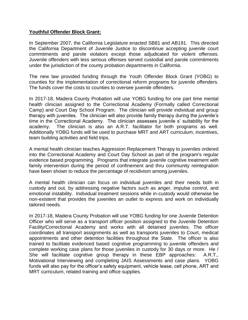### **Youthful Offender Block Grant:**

In September 2007, the California Legislature enacted SB81 and AB191. This directed the California Department of Juvenile Justice to discontinue accepting juvenile court commitments and parole violators except those adjudicated for violent offenses. Juvenile offenders with less serious offenses served custodial and parole commitments under the jurisdiction of the county probation departments in California.

The new law provided funding through the Youth Offender Block Grant (YOBG) to counties for the implementation of correctional reform programs for juvenile offenders. The funds cover the costs to counties to oversee juvenile offenders.

In 2017-18, Madera County Probation will use YOBG funding for one part time mental health clinician assigned to the Correctional Academy (Formally called Correctional Camp) and Court Day School Program. The clinician will provide individual and group therapy with juveniles. The clinician will also provide family therapy during the juvenile's time in the Correctional Academy. The clinician assesses juvenile s' suitability for the academy. The clinician is also an A.R.T. facilitator for both programs as well. Additionally YOBG funds will be used to purchase MRT and ART curriculum, incentives, team building activities and field trips.

A mental health clinician teaches Aggression Replacement Therapy to juveniles ordered into the Correctional Academy and Court Day School as part of the program's regular evidence based programming. Programs that integrate juvenile cognitive treatment with family intervention during the period of confinement and thru community reintegration have been shown to reduce the percentage of recidivism among juveniles.

A mental health clinician can focus on individual juveniles and their needs both in custody and out, by addressing negative factors such as anger, impulse control, and emotional instability. Individual treatment sessions while in-custody would otherwise be non-existent that provides the juveniles an outlet to express and work on individually tailored needs.

In 2017-18, Madera County Probation will use YOBG funding for one Juvenile Detention Officer who will serve as a transport officer position assigned to the Juvenile Detention Facility/Correctional Academy and works with all detained juveniles. The officer coordinates all transport assignments as well as transports juveniles to Court, medical appointments and other detention facilities throughout the State. The officer is also trained to facilitate evidenced based cognitive programming to juvenile offenders and complete working case plans for those juveniles in custody for 30 days or more. He / She will facilitate cognitive group therapy in these EBP approaches: A.R.T., Motivational Interviewing and completing JAIS Assessments and case plans. YOBG funds will also pay for the officer's safety equipment, vehicle lease, cell phone, ART and MRT curriculum, related training and office supplies.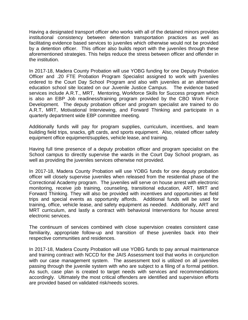Having a designated transport officer who works with all of the detained minors provides institutional consistency between detention transportation practices as well as facilitating evidence based services to juveniles which otherwise would not be provided by a detention officer. This officer also builds report with the juveniles through these aforementioned strategies. This helps reduce the stress between officer and offender in the institution.

In 2017-18, Madera County Probation will use YOBG funding for one Deputy Probation Officer and .20 FTE Probation Program Specialist assigned to work with juveniles ordered to the Court Day School Program and also with juveniles at an alternative education school site located on our Juvenile Justice Campus. The evidence based services include A.R.T., MRT, Mentoring, Workforce Skills for Success program which is also an EBP Job readiness/training program provided by the CBO Work Force Development. The deputy probation officer and program specialist are trained to do A.R.T, MRT, Motivational Interviewing, and Forward Thinking and participate in a quarterly department wide EBP committee meeting.

Additionally funds will pay for program supplies, curriculum, incentives, and team building field trips, snacks, gift cards, and sports equipment. Also, related officer safety equipment office equipment/supplies, vehicle lease, and training.

Having full time presence of a deputy probation officer and program specialist on the School campus to directly supervise the wards in the Court Day School program, as well as providing the juveniles services otherwise not provided.

In 2017-18, Madera County Probation will use YOBG funds for one deputy probation officer will closely supervise juveniles when released from the residential phase of the Correctional Academy program. The juveniles will serve on house arrest with electronic monitoring, receive job training, counseling, transitional education, ART, MRT and Forward Thinking. They will also be provided with incentives and opportunities at field trips and special events as opportunity affords. Additional funds will be used for training, office, vehicle lease, and safety equipment as needed. Additionally, ART and MRT curriculum, and lastly a contract with behavioral Interventions for house arrest electronic services.

The continuum of services combined with close supervision creates consistent case familiarity, appropriate follow-up and transition of these juveniles back into their respective communities and residences.

In 2017-18, Madera County Probation will use YOBG funds to pay annual maintenance and training contract with NCCD for the JAIS Assessment tool that works in conjunction with our case management system. The assessment tool is utilized on all juveniles passing through the juvenile system with who are subject to a filing of a formal petition. As such, case plan is created to target needs with services and recommendations accordingly. Ultimately the most critical offenders are identified and supervision efforts are provided based on validated risk/needs scores.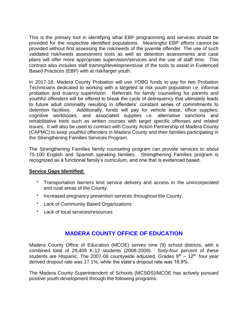This is the primary tool in identifying what EBP programming and services should be provided for the respective identified populations. Meaningful EBP efforts cannot be provided without first assessing the risk/needs of the juvenile offender. The use of such validated risk/needs assessment tools as well as detention assessments and case plans will offer more appropriate supervision/services and the use of staff time. This contract also includes staff training/development/use of the tools to assist in Evidenced Based Practices (EBP) with at risk/target youth.

In 2017-18, Madera County Probation will use YOBG funds to pay for two Probation Technicians dedicated to working with a targeted at risk youth population i.e. informal probation and truancy supervision. Referrals for family counseling for parents and youthful offenders will be offered to break the cycle of delinquency that ultimately leads to future adult criminality resulting in offenders' constant series of commitments to detention facilities. Additionally, funds will pay for vehicle lease, office supplies, cognitive workbooks, and associated supplies i.e. alternative sanctions and rehabilitative tools such as written courses with target specific offenses and related issues. It will also be used to contract with County Action Partnership of Madera County (CAPMC) to keep youthful offenders in Madera County and their families participating in the Strengthening Families Services Program.

The Strengthening Families family counseling program can provide services to about 75-100 English and Spanish speaking families. Strengthening Families program is recognized as a functional family's curriculum, and one that is evidenced based.

### **Service Gaps Identified:**

- \* Transportation barriers limit service delivery and access in the unincorporated and rural areas of the County.
- \* Increased pregnancy prevention services throughout the County.
- \* Lack of Community Based Organizations
- Lack of local services/resources

### **MADERA COUNTY OFFICE OF EDUCATION**

Madera County Office of Education (MCOE) serves nine (9) school districts, with a combined total of 29,409 K-12 students (2008-2009). Sixty-four percent of these students are Hispanic. The 2007-08 countywide adjusted, Grades  $9<sup>th</sup> - 12<sup>th</sup>$  four year derived dropout rate was 17.1%, while the state's dropout rate was 18.9%.

The Madera County Superintendent of Schools (MCSOS)/MCOE has actively pursued positive youth development through the following programs: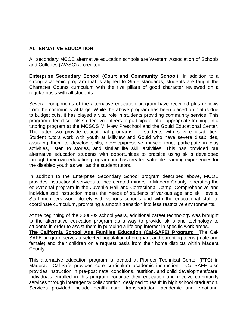### **ALTERNATIVE EDUCATION**

All secondary MCOE alternative education schools are Western Association of Schools and Colleges (WASC) accredited.

**Enterprise Secondary School (Court and Community School):** In addition to a strong academic program that is aligned to State standards, students are taught the Character Counts curriculum with the five pillars of good character reviewed on a regular basis with all students.

Several components of the alternative education program have received plus reviews from the community at large. While the above program has been placed on hiatus due to budget cuts, it has played a vital role in students providing community service. This program offered selects student volunteers to participate, after appropriate training, in a tutoring program at the MCSOS Millview Preschool and the Gould Educational Center. The latter two provide educational programs for students with severe disabilities. Student tutors work with youth at Millview and Gould who have severe disabilities, assisting them to develop skills, develop/preserve muscle tone, participate in play activities, listen to stories, and similar life skill activities. This has provided our alternative education students with opportunities to practice using skills developed through their own education program and has created valuable learning experiences for the disabled youth as well as the student tutors.

In addition to the Enterprise Secondary School program described above, MCOE provides instructional services to incarcerated minors in Madera County, operating the educational program in the Juvenile Hall and Correctional Camp. Comprehensive and individualized instruction meets the needs of students of various age and skill levels. Staff members work closely with various schools and with the educational staff to coordinate curriculum, promoting a smooth transition into less restrictive environments.

At the beginning of the 2008-09 school years, additional career technology was brought to the alternative education program as a way to provide skills and technology to students in order to assist them in pursuing a lifelong interest in specific work areas. **The California School Age Families Education (Cal-SAFE) Program:** The Cal-SAFE program serves a selected population of pregnant and parenting teens (male and female) and their children on a request basis from their home districts within Madera County.

This alternative education program is located at Pioneer Technical Center (PTC) in Madera. Cal-Safe provides core curriculum academic instruction. Cal-SAFE also provides instruction in pre-post natal conditions, nutrition, and child development/care. Individuals enrolled in this program continue their education and receive community services through interagency collaboration, designed to result in high school graduation. Services provided include health care, transportation, academic and emotional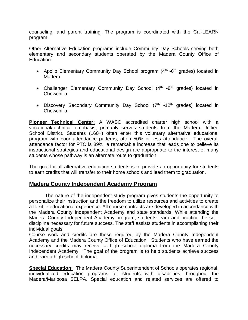counseling, and parent training. The program is coordinated with the Cal-LEARN program.

Other Alternative Education programs include Community Day Schools serving both elementary and secondary students operated by the Madera County Office of Education:

- Apollo Elementary Community Day School program (4<sup>th</sup> -6<sup>th</sup> grades) located in Madera.
- Challenger Elementary Community Day School  $(4<sup>th</sup> -8<sup>th</sup>$  grades) located in Chowchilla.
- Discovery Secondary Community Day School (7<sup>th</sup> -12<sup>th</sup> grades) located in Chowchilla.

**Pioneer Technical Center:** A WASC accredited charter high school with a vocational/technical emphasis, primarily serves students from the Madera Unified School District. Students (160+) often enter this voluntary alternative educational program with poor attendance patterns, often 50% or less attendance. The overall attendance factor for PTC is 89%, a remarkable increase that leads one to believe its instructional strategies and educational design are appropriate to the interest of many students whose pathway is an alternate route to graduation.

The goal for all alternative education students is to provide an opportunity for students to earn credits that will transfer to their home schools and lead them to graduation.

### **Madera County Independent Academy Program**

The nature of the independent study program gives students the opportunity to personalize their instruction and the freedom to utilize resources and activities to create a flexible educational experience. All course contracts are developed in accordance with the Madera County Independent Academy and state standards. While attending the Madera County Independent Academy program, students learn and practice the selfdiscipline necessary for future success. The staff assists students in accomplishing their individual goals

Course work and credits are those required by the Madera County Independent Academy and the Madera County Office of Education. Students who have earned the necessary credits may receive a high school diploma from the Madera County Independent Academy. The goal of the program is to help students achieve success and earn a high school diploma.

**Special Education:** The Madera County Superintendent of Schools operates regional, individualized education programs for students with disabilities throughout the Madera/Mariposa SELPA. Special education and related services are offered to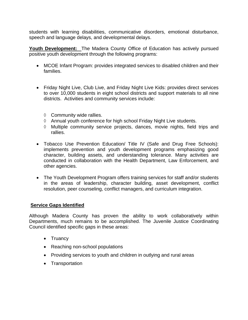students with learning disabilities, communicative disorders, emotional disturbance, speech and language delays, and developmental delays.

**Youth Development:** The Madera County Office of Education has actively pursued positive youth development through the following programs:

- MCOE Infant Program: provides integrated services to disabled children and their families.
- Friday Night Live, Club Live, and Friday Night Live Kids: provides direct services to over 10,000 students in eight school districts and support materials to all nine districts. Activities and community services include:
	- $\Diamond$  Community wide rallies.
	- Annual youth conference for high school Friday Night Live students.
	- $\Diamond$  Multiple community service projects, dances, movie nights, field trips and rallies.
- Tobacco Use Prevention Education/ Title IV (Safe and Drug Free Schools): implements prevention and youth development programs emphasizing good character, building assets, and understanding tolerance. Many activities are conducted in collaboration with the Health Department, Law Enforcement, and other agencies.
- The Youth Development Program offers training services for staff and/or students in the areas of leadership, character building, asset development, conflict resolution, peer counseling, conflict managers, and curriculum integration.

### **Service Gaps Identified**

Although Madera County has proven the ability to work collaboratively within Departments, much remains to be accomplished. The Juvenile Justice Coordinating Council identified specific gaps in these areas:

- Truancy
- Reaching non-school populations
- Providing services to youth and children in outlying and rural areas
- Transportation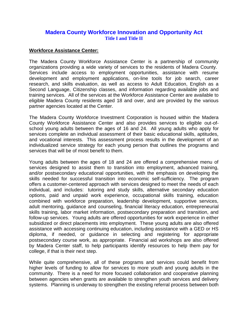### **Madera County Workforce Innovation and Opportunity Act Title I and Title II**

### **Workforce Assistance Center:**

The Madera County Workforce Assistance Center is a partnership of community organizations providing a wide variety of services to the residents of Madera County. Services include access to employment opportunities, assistance with resume development and employment applications, on-line tools for job search, career research, and skills evaluation, as well as access to Adult Education, English as a Second Language, Citizenship classes, and information regarding available jobs and training services. All of the services at the Workforce Assistance Center are available to eligible Madera County residents aged 18 and over, and are provided by the various partner agencies located at the Center.

The Madera County Workforce Investment Corporation is housed within the Madera County Workforce Assistance Center and also provides services to eligible out-ofschool young adults between the ages of 16 and 24. All young adults who apply for services complete an individual assessment of their basic educational skills, aptitudes, and vocational interests. This assessment process results in the development of an individualized service strategy for each young person that outlines the programs and services that will be of most benefit to them.

Young adults between the ages of 18 and 24 are offered a comprehensive menu of services designed to assist them to transition into employment, advanced training, and/or postsecondary educational opportunities, with the emphasis on developing the skills needed for successful transition into economic self-sufficiency. The program offers a customer-centered approach with services designed to meet the needs of each individual, and includes: tutoring and study skills, alternative secondary education options, paid and unpaid work experience, occupational skills training, education combined with workforce preparation, leadership development, supportive services, adult mentoring, guidance and counseling, financial literacy education, entrepreneurial skills training, labor market information, postsecondary preparation and transition, and follow-up services. Young adults are offered opportunities for work experience in either subsidized or direct placements into employment. These young adults are also offered assistance with accessing continuing education, including assistance with a GED or HS diploma, if needed, or guidance in selecting and registering for appropriate postsecondary course work, as appropriate. Financial aid workshops are also offered by Madera Center staff, to help participants identify resources to help them pay for college, if that is their next step.

While quite comprehensive, all of these programs and services could benefit from higher levels of funding to allow for services to more youth and young adults in the community. There is a need for more focused collaboration and cooperative planning between agencies when grants are available to strengthen youth services and delivery systems. Planning is underway to strengthen the existing referral process between both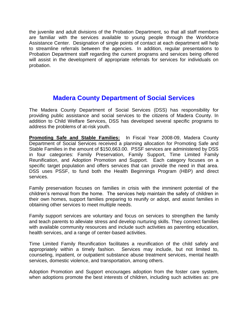the juvenile and adult divisions of the Probation Department, so that all staff members are familiar with the services available to young people through the Workforce Assistance Center. Designation of single points of contact at each department will help to streamline referrals between the agencies. In addition, regular presentations to Probation Department staff regarding the current programs and services being offered will assist in the development of appropriate referrals for services for individuals on probation.

# **Madera County Department of Social Services**

The Madera County Department of Social Services (DSS) has responsibility for providing public assistance and social services to the citizens of Madera County. In addition to Child Welfare Services, DSS has developed several specific programs to address the problems of at-risk youth.

**Promoting Safe and Stable Families:** In Fiscal Year 2008-09, Madera County Department of Social Services received a planning allocation for Promoting Safe and Stable Families in the amount of \$150,663.00. PSSF services are administered by DSS in four categories: Family Preservation, Family Support, Time Limited Family Reunification, and Adoption Promotion and Support. Each category focuses on a specific target population and offers services that can provide the need in that area. DSS uses PSSF, to fund both the Health Beginnings Program (HBP) and direct services.

Family preservation focuses on families in crisis with the imminent potential of the children's removal from the home. The services help maintain the safety of children in their own homes, support families preparing to reunify or adopt, and assist families in obtaining other services to meet multiple needs.

Family support services are voluntary and focus on services to strengthen the family and teach parents to alleviate stress and develop nurturing skills. They connect families with available community resources and include such activities as parenting education, health services, and a range of center-based activities.

Time Limited Family Reunification facilitates a reunification of the child safely and appropriately within a timely fashion. Services may include, but not limited to, counseling, inpatient, or outpatient substance abuse treatment services, mental health services, domestic violence, and transportation, among others.

Adoption Promotion and Support encourages adoption from the foster care system, when adoptions promote the best interests of children, including such activities as: pre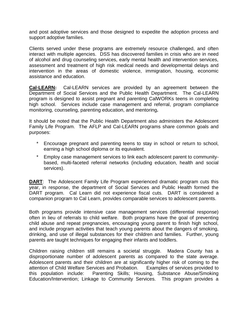and post adoptive services and those designed to expedite the adoption process and support adoptive families.

Clients served under these programs are extremely resource challenged, and often interact with multiple agencies. DSS has discovered families in crisis who are in need of alcohol and drug counseling services, early mental health and intervention services, assessment and treatment of high risk medical needs and developmental delays and intervention in the areas of domestic violence, immigration, housing, economic assistance and education.

**Cal-LEARN:** Cal-LEARN services are provided by an agreement between the Department of Social Services and the Public Health Department. The Cal-LEARN program is designed to assist pregnant and parenting CalWORKs teens in completing high school. Services include case management and referral, program compliance monitoring, counseling, parenting education, and mentoring**.**

It should be noted that the Public Health Department also administers the Adolescent Family Life Program. The AFLP and Cal-LEARN programs share common goals and purposes:

- Encourage pregnant and parenting teens to stay in school or return to school, earning a high school diploma or its equivalent.
- Employ case management services to link each adolescent parent to communitybased, multi-faceted referral networks (including education, health and social services).

**DART**: The Adolescent Family Life Program experienced dramatic program cuts this year, in response, the department of Social Services and Public Health formed the DART program. Cal Learn did not experience fiscal cuts. DART is considered a companion program to Cal Learn, provides comparable services to adolescent parents.

Both programs provide intensive case management services (differential response) often in lieu of referrals to child welfare. Both programs have the goal of preventing child abuse and repeat pregnancies, encouraging young parent to finish high school, and include program activities that teach young parents about the dangers of smoking, drinking, and use of illegal substances for their children and families. Further, young parents are taught techniques for engaging their infants and toddlers.

Children raising children still remains a societal struggle. Madera County has a disproportionate number of adolescent parents as compared to the state average. Adolescent parents and their children are at significantly higher risk of coming to the attention of Child Welfare Services and Probation. Examples of services provided to this population include: Parenting Skills; Housing, Substance Abuse/Smoking Education/Intervention; Linkage to Community Services. This program provides a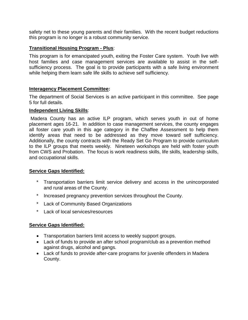safety net to these young parents and their families. With the recent budget reductions this program is no longer is a robust community service.

### **Transitional Housing Program - Plus**:

This program is for emancipated youth, exiting the Foster Care system. Youth live with host families and case management services are available to assist in the selfsufficiency process. The goal is to provide participants with a safe living environment while helping them learn safe life skills to achieve self sufficiency.

### **Interagency Placement Committee:**

The department of Social Services is an active participant in this committee. See page 5 for full details.

### **Independent Living Skills**:

Madera County has an active ILP program, which serves youth in out of home placement ages 16-21. In addition to case management services, the county engages all foster care youth in this age category in the Chaffee Assessment to help them identify areas that need to be addressed as they move toward self sufficiency. Additionally, the county contracts with the Ready Set Go Program to provide curriculum to the ILP groups that meets weekly. Nineteen workshops are held with foster youth from CWS and Probation. The focus is work readiness skills, life skills, leadership skills, and occupational skills.

### **Service Gaps Identified:**

- \* Transportation barriers limit service delivery and access in the unincorporated and rural areas of the County.
- \* Increased pregnancy prevention services throughout the County.
- \* Lack of Community Based Organizations
- Lack of local services/resources

### **Service Gaps Identified:**

- Transportation barriers limit access to weekly support groups.
- Lack of funds to provide an after school program/club as a prevention method against drugs, alcohol and gangs.
- Lack of funds to provide after-care programs for juvenile offenders in Madera County.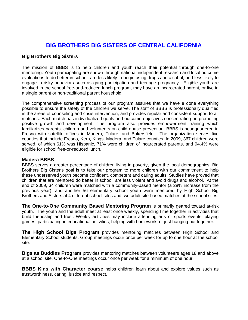### **BIG BROTHERS BIG SISTERS OF CENTRAL CALIFORNIA**

### **Big Brothers Big Sisters**

The mission of BBBS is to help children and youth reach their potential through one-to-one mentoring. Youth participating are shown through national independent research and local outcome evaluations to do better in school, are less likely to begin using drugs and alcohol, and less likely to engage in risky behaviors such as gang participation and teenage pregnancy. Eligible youth are involved in the school free-and-reduced lunch program, may have an incarcerated parent, or live in a single parent or non-traditional parent household.

The comprehensive screening process of our program assures that we have e done everything possible to ensure the safety of the children we serve. The staff of BBBS is professionally qualified in the areas of counseling and crisis intervention, and provides regular and consistent support to all matches. Each match has individualized goals and outcome objectives concentrating on promoting positive growth and development. The program also provides empowerment training which familiarizes parents, children and volunteers on child abuse prevention. BBBS is headquartered in Fresno with satellite offices in Madera, Tulare, and Bakersfield. The organization serves five counties that include Fresno, Kern, Kings, Madera, and Tulare counties. In 2009, 367 children were served, of which 61% was Hispanic, 71% were children of incarcerated parents, and 94.4% were eligible for school free-or-reduced lunch.

### **Madera BBBS**

BBBS serves a greater percentage of children living in poverty, given the local demographics. Big Brothers Big Sister's goal is to take our program to more children with our commitment to help these underserved youth become confident, competent and caring adults. Studies have proved that children that are mentored do better in school, are less violent and avoid drugs and alcohol. At the end of 2009, 34 children were matched with a community-based mentor (a 28% increase from the previous year), and another 56 elementary school youth were mentored by High School Big Brothers and Sisters at 4 different school sites and two adult site-based matches at the school sites.

**The One-to-One Community Based Mentoring Program** is primarily geared toward at-risk youth. The youth and the adult meet at least once weekly, spending time together in activities that build friendship and trust. Weekly activities may include attending arts or sports events, playing games, participating in educational activities, helping with homework, or just hanging out together.

**The High School Bigs Program** provides mentoring matches between High School and Elementary School students. Group meetings occur once per week for up to one hour at the school site.

**Bigs as Buddies Program** provides mentoring matches between volunteers ages 18 and above at a school site. One-to-One meetings occur once per week for a minimum of one hour.

**BBBS Kids with Character coarse** helps children learn about and explore values such as trustworthiness, caring, justice and respect.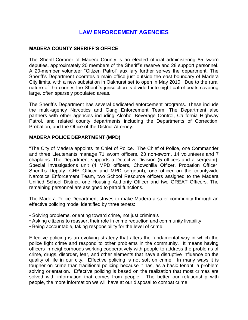### **LAW ENFORCEMENT AGENCIES**

### **MADERA COUNTY SHERIFF'S OFFICE**

The Sheriff-Coroner of Madera County is an elected official administering 85 sworn deputies, approximately 20 members of the Sheriff's reserve and 28 support personnel. A 20-member volunteer "Citizen Patrol" auxiliary further serves the department. The Sheriff's Department operates a main office just outside the east boundary of Madera City limits, with a new substation in Oakhurst set to open in May 2010. Due to the rural nature of the county, the Sheriff's jurisdiction is divided into eight patrol beats covering large, often sparsely populated areas.

The Sheriff's Department has several dedicated enforcement programs. These include the multi-agency Narcotics and Gang Enforcement Team. The Department also partners with other agencies including Alcohol Beverage Control, California Highway Patrol, and related county departments including the Departments of Correction, Probation, and the Office of the District Attorney.

### **MADERA POLICE DEPARTMENT (MPD)**

"The City of Madera appoints its Chief of Police. The Chief of Police, one Commander and three Lieutenants manage 71 sworn officers, 23 non-sworn, 14 volunteers and 7 chaplains. The Department supports a Detective Division (5 officers and a sergeant), Special Investigations unit (4 MPD officers, Chowchilla Officer, Probation Officer, Sheriff's Deputy, CHP Officer and MPD sergeant), one officer on the countywide Narcotics Enforcement Team, two School Resource officers assigned to the Madera Unified School District, one Housing Authority Officer and two GREAT Officers. The remaining personnel are assigned to patrol functions.

The Madera Police Department strives to make Madera a safer community through an effective policing model identified by three tenets:

- Solving problems, orienting toward crime, not just criminals
- Asking citizens to reassert their role in crime reduction and community livability
- Being accountable, taking responsibility for the level of crime

Effective policing is an evolving strategy that alters the fundamental way in which the police fight crime and respond to other problems in the community. It means having officers in neighborhoods working cooperatively with people to address the problems of crime, drugs, disorder, fear, and other elements that have a disruptive influence on the quality of life in our city. Effective policing is not soft on crime. In many ways it is tougher on crime than traditional policing because it has, as a basic tenant, a problem solving orientation. Effective policing is based on the realization that most crimes are solved with information that comes from people. The better our relationship with people, the more information we will have at our disposal to combat crime.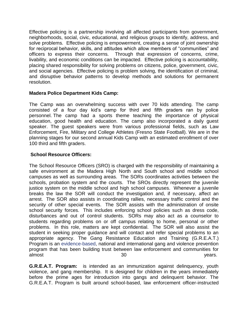Effective policing is a partnership involving all affected participants from government, neighborhoods, social, civic, educational, and religious groups to identify, address, and solve problems. Effective policing is empowerment, creating a sense of joint ownership for reciprocal behavior, skills, and attitudes which allow members of "communities" and officers to express their concerns. Through that expression of concerns, crime, livability, and economic conditions can be impacted. Effective policing is accountability, placing shared responsibility for solving problems on citizens, police, government, civic, and social agencies. Effective policing is problem solving, the identification of criminal, and disruptive behavior patterns to develop methods and solutions for permanent resolution.

### **Madera Police Department Kids Camp:**

The Camp was an overwhelming success with over 70 kids attending. The camp consisted of a four day kid's camp for third and fifth graders ran by police personnel. The camp had a sports theme teaching the importance of physical education, good health and education. The camp also incorporated a daily guest speaker. The guest speakers were from various professional fields, such as Law Enforcement, Fire, Military and College Athletes (Fresno State Football). We are in the planning stages for our second annual Kids Camp with an estimated enrollment of over 100 third and fifth graders.

### **School Resource Officers:**

The School Resource Officers (SRO) is charged with the responsibility of maintaining a safe environment at the Madera High North and South school and middle school campuses as well as surrounding areas. The SORs coordinates activities between the schools, probation system and the courts. The SROs directly represent the juvenile justice system on the middle school and high school campuses. Whenever a juvenile breaks the law the SOR will conduct the investigation and, if necessary, affect an arrest. The SOR also assists in coordinating rallies, necessary traffic control and the security of other special events. The SOR assists with the administration of onsite school security forces. This includes enforcing school policies such as dress code, disturbances and out of control students. SORs may also act as a counselor to students regarding problems on or off campus relating to home, personal or other problems. In this role, matters are kept confidential. The SOR will also assist the student in seeking proper guidance and will contact and refer special problems to an appropriate agency. The Gang Resistance Education and Training (G.R.E.A.T.) Program is an [evidence-based,](https://www.great-online.org/Home/About/Evaluation) national and international gang and violence prevention program that has been building trust between law enforcement and communities for almost and the set of  $\sim$  30 years.

**G.R.E.A.T. Program:** is intended as an immunization against delinquency, youth violence, and gang membership. It is designed for children in the years immediately before the prime ages for introduction into gangs and delinquent behavior. The G.R.E.A.T. Program is built around school-based, law enforcement officer-instructed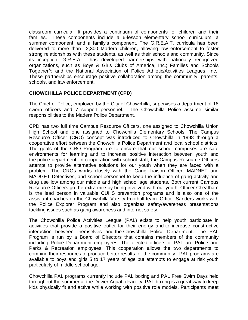classroom curricula. It provides a continuum of components for children and their families. These components include a 6-lesson elementary school curriculum, a summer component, and a family's component. The G.R.E.A.T. curricula has been delivered to more than 2,300 Madera children, allowing law enforcement to foster strong relationships with these students, as well as their schools and community. Since its inception, G.R.E.A.T. has developed partnerships with nationally recognized organizations, such as Boys & Girls Clubs of America, Inc.; Families and Schools Together®; and the National Association of Police Athletic/Activities Leagues, Inc. These partnerships encourage positive collaboration among the community, parents, schools, and law enforcement.

### **CHOWCHILLA POLICE DEPARTMENT (CPD)**

The Chief of Police, employed by the City of Chowchilla, supervises a department of 18 sworn officers and 7 support personnel. The Chowchilla Police assume similar responsibilities to the Madera Police Department.

CPD has two full time Campus Resource Officers, one assigned to Chowchilla Union High School and one assigned to Chowchilla Elementary Schools. The Campus Resource Officer (CRO) concept was introduced to Chowchilla in 1998 through a cooperative effort between the Chowchilla Police Department and local school districts. The goals of the CRO Program are to ensure that our school campuses are safe environments for learning and to increase positive interaction between youth and the police department. In cooperation with school staff, the Campus Resource Officers attempt to provide alternative solutions for our youth when they are faced with a problem. The CROs works closely with the Gang Liaison Officer, MADNET and MADGET Detectives, and school personnel to keep the influence of gang activity and drug use low among our middle and high school age students. Both current Campus Resource Officers go the extra mile by being involved with our youth. Officer Cheatham is the lead person in valuable CUHS prevention programs and is also one of the assistant coaches on the Chowchilla Varsity Football team. Officer Sanders works with the Police Explorer Program and also organizes safety/awareness presentations tackling issues such as gang awareness and internet safety.

The Chowchilla Police Activities League (PAL) exists to help youth participate in activities that provide a positive outlet for their energy and to increase constructive interaction between themselves and the Chowchilla Police Department. The PAL Program is run by a Board of Directors that contains members of the community including Police Department employees. The elected officers of PAL are Police and Parks & Recreation employees. This cooperation allows the two departments to combine their resources to produce better results for the community. PAL programs are available to boys and girls 5 to 17 years of age but attempts to engage at risk youth particularly of middle school age.

Chowchilla PAL programs currently include PAL boxing and PAL Free Swim Days held throughout the summer at the Dower Aquatic Facility. PAL boxing is a great way to keep kids physically fit and active while working with positive role models. Participants meet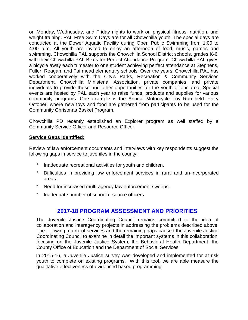on Monday, Wednesday, and Friday nights to work on physical fitness, nutrition, and weight training. PAL Free Swim Days are for all Chowchilla youth. The special days are conducted at the Dower Aquatic Facility during Open Public Swimming from 1:00 to 4:00 p.m. All youth are invited to enjoy an afternoon of food, music, games and swimming. Chowchilla PAL supports the Chowchilla School District schools, grades K-6, with their Chowchilla PAL Bikes for Perfect Attendance Program. Chowchilla PAL gives a bicycle away each trimester to one student achieving perfect attendance at Stephens, Fuller, Reagan, and Fairmead elementary schools. Over the years, Chowchilla PAL has worked cooperatively with the City's Parks, Recreation & Community Services Department, Chowchilla Ministerial Association, private companies, and private individuals to provide these and other opportunities for the youth of our area. Special events are hosted by PAL each year to raise funds, products and supplies for various community programs. One example is the Annual Motorcycle Toy Run held every October, where new toys and food are gathered from participants to be used for the Community Christmas Basket Program.

Chowchilla PD recently established an Explorer program as well staffed by a Community Service Officer and Resource Officer.

### **Service Gaps Identified:**

Review of law enforcement documents and interviews with key respondents suggest the following gaps in service to juveniles in the county:

- Inadequate recreational activities for youth and children.
- \* Difficulties in providing law enforcement services in rural and un-incorporated areas.
- \* Need for increased multi-agency law enforcement sweeps.
- \* Inadequate number of school resource officers.

### **2017-18 PROGRAM ASSESSMENT AND PRIORITIES**

The Juvenile Justice Coordinating Council remains committed to the idea of collaboration and interagency projects in addressing the problems described above. The following matrix of services and the remaining gaps caused the Juvenile Justice Coordinating Council to examine in detail the important systems in this collaboration, focusing on the Juvenile Justice System, the Behavioral Health Department, the County Office of Education and the Department of Social Services.

In 2015-16, a Juvenile Justice survey was developed and implemented for at risk youth to complete on existing programs. With this tool, we are able measure the qualitative effectiveness of evidenced based programming.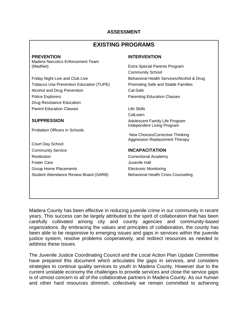### **ASSESSMENT**

### **EXISTING PROGRAMS**

Madera Narcotics Enforcement Team (MadNet) Extra Special Parents Program

Friday Night Live and Club Live Behavioral Health Services/Alcohol & Drug Tobacco Use Prevention Education (TUPE) Promoting Safe and Stable Families Alcohol and Drug Prevention Cal-Safe Police Explorers **Parenting Education Classes** Drug Resistance Education Parent Education Classes **Life Skills** 

Probation Officers in Schools

Court Day School Community Service **INCAPACITATION** Restitution **Correctional Academy** Foster Care **Care Juvenile Hall** Group Home Placements Electronic Monitoring Student Attendance Review Board (SARB) Behavioral Health Crisis Counseling

### **PREVENTION INTERVENTION**

Community School

Call earn **SUPPRESSION Adolescent Family Life Program** Independent Living Program

> New Choices/Corrective Thinking Aggression Replacement Therapy

Madera County has been effective in reducing juvenile crime in our community in recent years. This success can be largely attributed to the spirit of collaboration that has been carefully cultivated among city and county agencies and community-based organizations. By embracing the values and principles of collaboration, the county has been able to be responsive to emerging issues and gaps in services within the juvenile justice system, resolve problems cooperatively, and redirect resources as needed to address these issues.

The Juvenile Justice Coordinating Council and the Local Action Plan Update Committee have prepared this document which articulates the gaps in services, and considers strategies to continue quality services to youth in Madera County. However due to the current unstable economy the challenges to provide services and close the service gaps is of utmost concern to all of the collaborative partners in Madera County. As our human and other hard resources diminish, collectively we remain committed to achieving